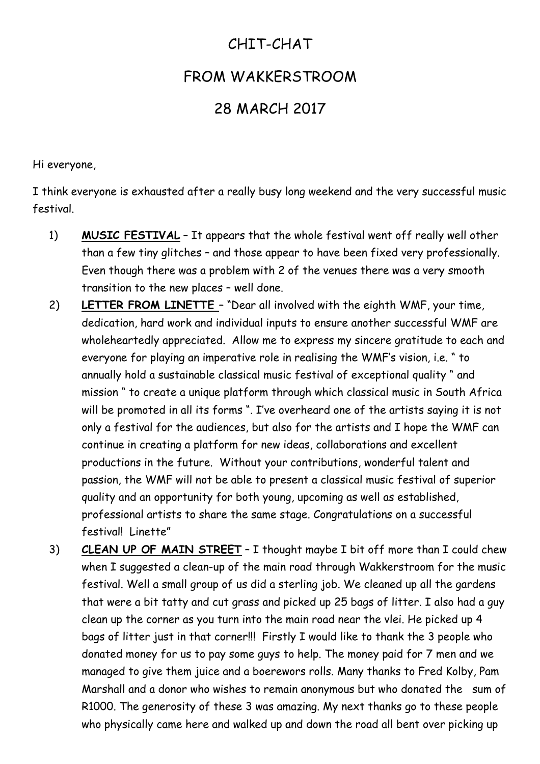## CHIT-CHAT

## FROM WAKKERSTROOM

## 28 MARCH 2017

Hi everyone,

I think everyone is exhausted after a really busy long weekend and the very successful music festival.

- 1) **MUSIC FESTIVAL** It appears that the whole festival went off really well other than a few tiny glitches – and those appear to have been fixed very professionally. Even though there was a problem with 2 of the venues there was a very smooth transition to the new places – well done.
- 2) **LETTER FROM LINETTE**  "Dear all involved with the eighth WMF, your time, dedication, hard work and individual inputs to ensure another successful WMF are wholeheartedly appreciated. Allow me to express my sincere gratitude to each and everyone for playing an imperative role in realising the WMF's vision, i.e. " to annually hold a sustainable classical music festival of exceptional quality " and mission " to create a unique platform through which classical music in South Africa will be promoted in all its forms ". I've overheard one of the artists saying it is not only a festival for the audiences, but also for the artists and I hope the WMF can continue in creating a platform for new ideas, collaborations and excellent productions in the future. Without your contributions, wonderful talent and passion, the WMF will not be able to present a classical music festival of superior quality and an opportunity for both young, upcoming as well as established, professional artists to share the same stage. Congratulations on a successful festival! Linette"
- 3) **CLEAN UP OF MAIN STREET** I thought maybe I bit off more than I could chew when I suggested a clean-up of the main road through Wakkerstroom for the music festival. Well a small group of us did a sterling job. We cleaned up all the gardens that were a bit tatty and cut grass and picked up 25 bags of litter. I also had a guy clean up the corner as you turn into the main road near the vlei. He picked up 4 bags of litter just in that corner!!! Firstly I would like to thank the 3 people who donated money for us to pay some guys to help. The money paid for 7 men and we managed to give them juice and a boerewors rolls. Many thanks to Fred Kolby, Pam Marshall and a donor who wishes to remain anonymous but who donated the sum of R1000. The generosity of these 3 was amazing. My next thanks go to these people who physically came here and walked up and down the road all bent over picking up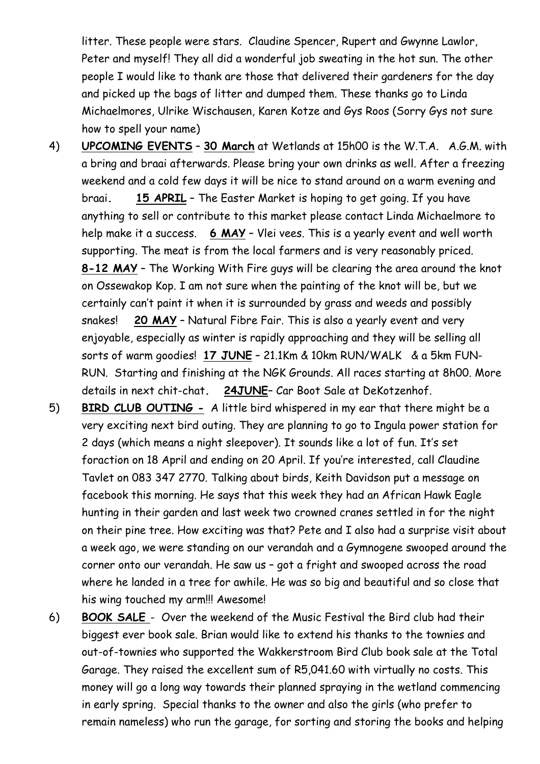litter. These people were stars. Claudine Spencer, Rupert and Gwynne Lawlor, Peter and myself! They all did a wonderful job sweating in the hot sun. The other people I would like to thank are those that delivered their gardeners for the day and picked up the bags of litter and dumped them. These thanks go to Linda Michaelmores, Ulrike Wischausen, Karen Kotze and Gys Roos (Sorry Gys not sure how to spell your name)

- 4) **UPCOMING EVENTS 30 March** at Wetlands at 15h00 is the W.T.A. A.G.M. with a bring and braai afterwards. Please bring your own drinks as well. After a freezing weekend and a cold few days it will be nice to stand around on a warm evening and braai**. 15 APRIL** – The Easter Market is hoping to get going. If you have anything to sell or contribute to this market please contact Linda Michaelmore to help make it a success. **6 MAY** – Vlei vees. This is a yearly event and well worth supporting. The meat is from the local farmers and is very reasonably priced. **8-12 MAY** – The Working With Fire guys will be clearing the area around the knot on Ossewakop Kop. I am not sure when the painting of the knot will be, but we certainly can't paint it when it is surrounded by grass and weeds and possibly snakes! **20 MAY** – Natural Fibre Fair. This is also a yearly event and very enjoyable, especially as winter is rapidly approaching and they will be selling all sorts of warm goodies! **17 JUNE** – 21.1Km & 10km RUN/WALK & a 5km FUN-RUN. Starting and finishing at the NGK Grounds. All races starting at 8h00. More details in next chit-chat**. 24JUNE**– Car Boot Sale at DeKotzenhof.
- 5) **BIRD CLUB OUTING -** A little bird whispered in my ear that there might be a very exciting next bird outing. They are planning to go to Ingula power station for 2 days (which means a night sleepover). It sounds like a lot of fun. It's set foraction on 18 April and ending on 20 April. If you're interested, call Claudine Tavlet on 083 347 2770. Talking about birds, Keith Davidson put a message on facebook this morning. He says that this week they had an African Hawk Eagle hunting in their garden and last week two crowned cranes settled in for the night on their pine tree. How exciting was that? Pete and I also had a surprise visit about a week ago, we were standing on our verandah and a Gymnogene swooped around the corner onto our verandah. He saw us – got a fright and swooped across the road where he landed in a tree for awhile. He was so big and beautiful and so close that his wing touched my arm!!! Awesome!
- 6) **BOOK SALE**  Over the weekend of the Music Festival the Bird club had their biggest ever book sale. Brian would like to extend his thanks to the townies and out-of-townies who supported the Wakkerstroom Bird Club book sale at the Total Garage. They raised the excellent sum of R5,041.60 with virtually no costs. This money will go a long way towards their planned spraying in the wetland commencing in early spring. Special thanks to the owner and also the girls (who prefer to remain nameless) who run the garage, for sorting and storing the books and helping